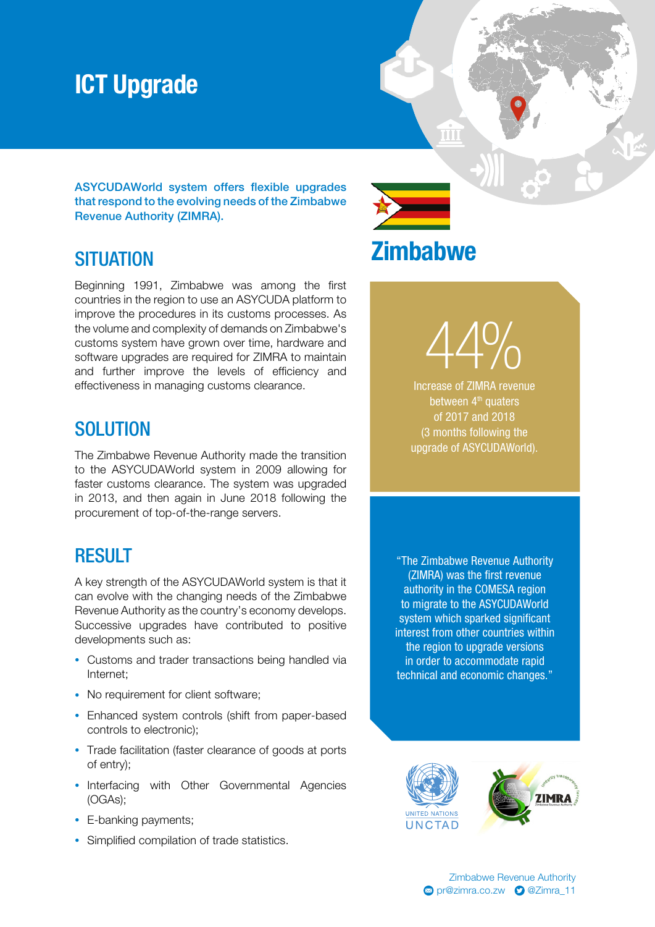### ICT Upgrade

ASYCUDAWorld system offers flexible upgrades that respond to the evolving needs of the Zimbabwe Revenue Authority (ZIMRA).

#### **SITUATION**

Beginning 1991, Zimbabwe was among the first countries in the region to use an ASYCUDA platform to improve the procedures in its customs processes. As the volume and complexity of demands on Zimbabwe's customs system have grown over time, hardware and software upgrades are required for ZIMRA to maintain and further improve the levels of efficiency and effectiveness in managing customs clearance.

### **SOLUTION**

The Zimbabwe Revenue Authority made the transition to the ASYCUDAWorld system in 2009 allowing for faster customs clearance. The system was upgraded in 2013, and then again in June 2018 following the procurement of top-of-the-range servers.

#### RESULT

A key strength of the ASYCUDAWorld system is that it can evolve with the changing needs of the Zimbabwe Revenue Authority as the country's economy develops. Successive upgrades have contributed to positive developments such as:

- Customs and trader transactions being handled via Internet;
- No requirement for client software;
- Enhanced system controls (shift from paper-based controls to electronic);
- Trade facilitation (faster clearance of goods at ports of entry);
- Interfacing with Other Governmental Agencies (OGAs);
- E-banking payments:
- Simplified compilation of trade statistics.

"The Zimbabwe Revenue Authority (ZIMRA) was the first revenue authority in the COMESA region to migrate to the ASYCUDAWorld system which sparked significant interest from other countries within the region to upgrade versions in order to accommodate rapid technical and economic changes."



# **Zimbabwe**

TT

Increase of ZIMRA revenue 44% between 4<sup>th</sup> quaters of 2017 and 2018 (3 months following the

upgrade of ASYCUDAWorld).